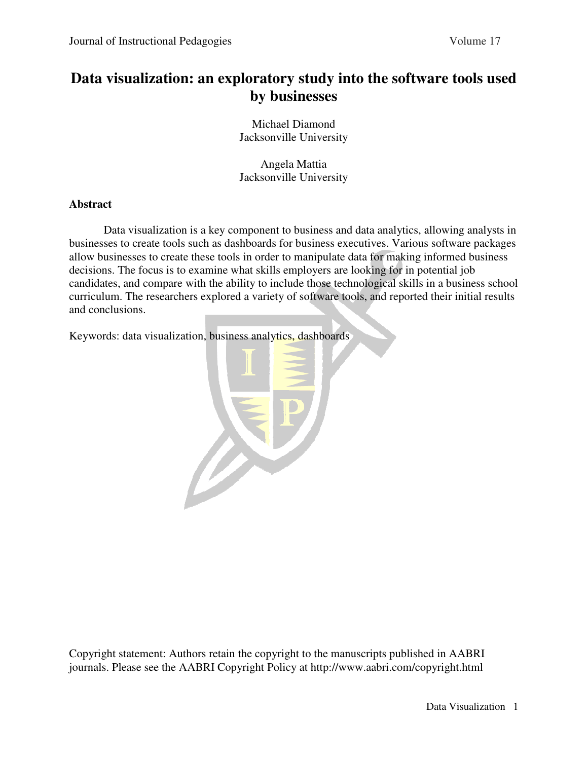# **Data visualization: an exploratory study into the software tools used by businesses**

Michael Diamond Jacksonville University

Angela Mattia Jacksonville University

## **Abstract**

Data visualization is a key component to business and data analytics, allowing analysts in businesses to create tools such as dashboards for business executives. Various software packages allow businesses to create these tools in order to manipulate data for making informed business decisions. The focus is to examine what skills employers are looking for in potential job candidates, and compare with the ability to include those technological skills in a business school curriculum. The researchers explored a variety of software tools, and reported their initial results and conclusions.

Keywords: data visualization, business analytics, dashboards



Copyright statement: Authors retain the copyright to the manuscripts published in AABRI journals. Please see the AABRI Copyright Policy at http://www.aabri.com/copyright.html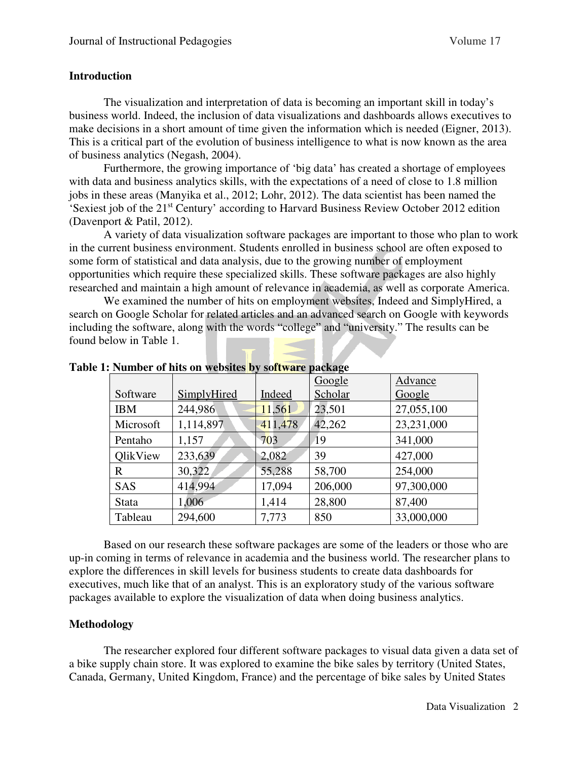## **Introduction**

 The visualization and interpretation of data is becoming an important skill in today's business world. Indeed, the inclusion of data visualizations and dashboards allows executives to make decisions in a short amount of time given the information which is needed (Eigner, 2013). This is a critical part of the evolution of business intelligence to what is now known as the area of business analytics (Negash, 2004).

 Furthermore, the growing importance of 'big data' has created a shortage of employees with data and business analytics skills, with the expectations of a need of close to 1.8 million jobs in these areas (Manyika et al., 2012; Lohr, 2012). The data scientist has been named the 'Sexiest job of the 21st Century' according to Harvard Business Review October 2012 edition (Davenport & Patil, 2012).

 A variety of data visualization software packages are important to those who plan to work in the current business environment. Students enrolled in business school are often exposed to some form of statistical and data analysis, due to the growing number of employment opportunities which require these specialized skills. These software packages are also highly researched and maintain a high amount of relevance in academia, as well as corporate America.

 We examined the number of hits on employment websites, Indeed and SimplyHired, a search on Google Scholar for related articles and an advanced search on Google with keywords including the software, along with the words "college" and "university." The results can be found below in Table 1.

|              |             |         | Google  | Advance    |
|--------------|-------------|---------|---------|------------|
| Software     | SimplyHired | Indeed  | Scholar | Google     |
| <b>IBM</b>   | 244,986     | 11,561  | 23,501  | 27,055,100 |
| Microsoft    | 1,114,897   | 411,478 | 42,262  | 23,231,000 |
| Pentaho      | 1,157       | 703     | 19      | 341,000    |
| OlikView     | 233,639     | 2,082   | 39      | 427,000    |
| $\mathbf R$  | 30,322      | 55,288  | 58,700  | 254,000    |
| SAS          | 414,994     | 17,094  | 206,000 | 97,300,000 |
| <b>Stata</b> | 1,006       | 1,414   | 28,800  | 87,400     |
| Tableau      | 294,600     | 7,773   | 850     | 33,000,000 |

**Table 1: Number of hits on websites by software package**

 Based on our research these software packages are some of the leaders or those who are up-in coming in terms of relevance in academia and the business world. The researcher plans to explore the differences in skill levels for business students to create data dashboards for executives, much like that of an analyst. This is an exploratory study of the various software packages available to explore the visualization of data when doing business analytics.

## **Methodology**

 The researcher explored four different software packages to visual data given a data set of a bike supply chain store. It was explored to examine the bike sales by territory (United States, Canada, Germany, United Kingdom, France) and the percentage of bike sales by United States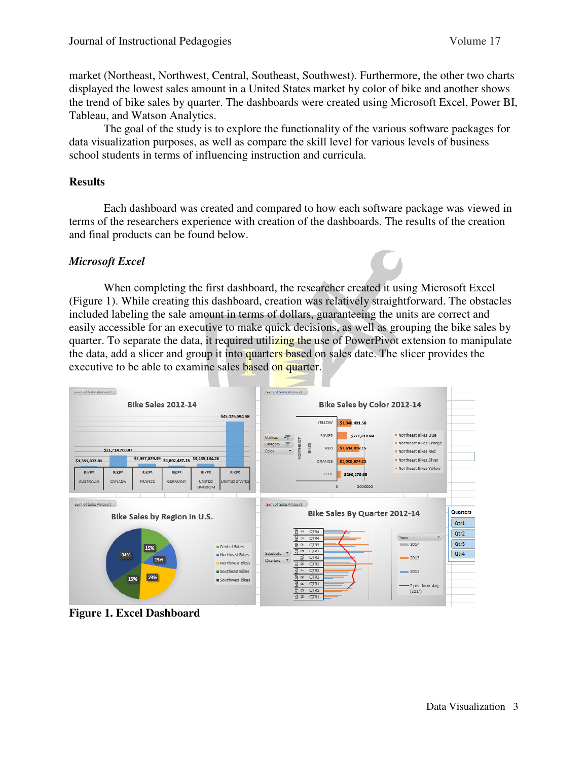market (Northeast, Northwest, Central, Southeast, Southwest). Furthermore, the other two charts displayed the lowest sales amount in a United States market by color of bike and another shows the trend of bike sales by quarter. The dashboards were created using Microsoft Excel, Power BI, Tableau, and Watson Analytics.

 The goal of the study is to explore the functionality of the various software packages for data visualization purposes, as well as compare the skill level for various levels of business school students in terms of influencing instruction and curricula.

## **Results**

 Each dashboard was created and compared to how each software package was viewed in terms of the researchers experience with creation of the dashboards. The results of the creation and final products can be found below.

## *Microsoft Excel*

 When completing the first dashboard, the researcher created it using Microsoft Excel (Figure 1). While creating this dashboard, creation was relatively straightforward. The obstacles included labeling the sale amount in terms of dollars, guaranteeing the units are correct and easily accessible for an executive to make quick decisions, as well as grouping the bike sales by quarter. To separate the data, it required utilizing the use of PowerPivot extension to manipulate the data, add a slicer and group it into quarters based on sales date. The slicer provides the executive to be able to examine sales based on quarter.



**Figure 1. Excel Dashboard**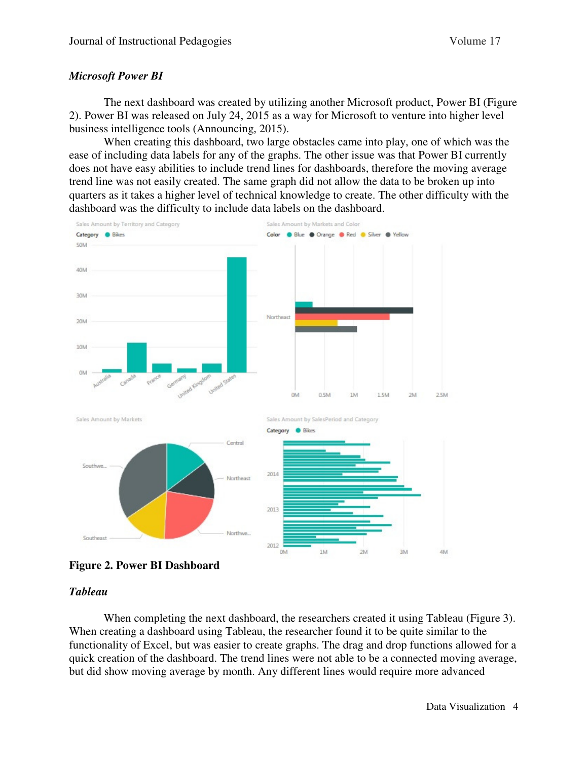## *Microsoft Power BI*

 The next dashboard was created by utilizing another Microsoft product, Power BI (Figure 2). Power BI was released on July 24, 2015 as a way for Microsoft to venture into higher level business intelligence tools (Announcing, 2015).

 When creating this dashboard, two large obstacles came into play, one of which was the ease of including data labels for any of the graphs. The other issue was that Power BI currently does not have easy abilities to include trend lines for dashboards, therefore the moving average trend line was not easily created. The same graph did not allow the data to be broken up into quarters as it takes a higher level of technical knowledge to create. The other difficulty with the dashboard was the difficulty to include data labels on the dashboard.



**Figure 2. Power BI Dashboard** 

## *Tableau*

When completing the next dashboard, the researchers created it using Tableau (Figure 3). When creating a dashboard using Tableau, the researcher found it to be quite similar to the functionality of Excel, but was easier to create graphs. The drag and drop functions allowed for a quick creation of the dashboard. The trend lines were not able to be a connected moving average, but did show moving average by month. Any different lines would require more advanced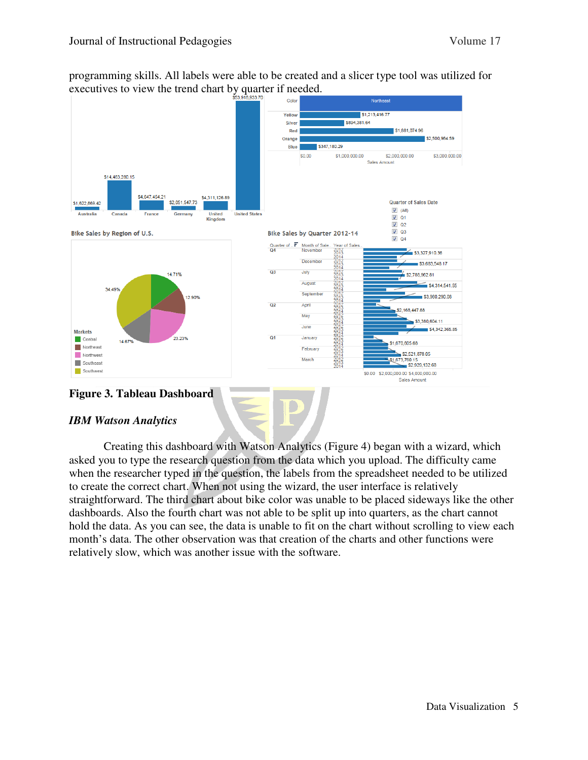programming skills. All labels were able to be created and a slicer type tool was utilized for executives to view the trend chart by quarter if needed.



## **Figure 3. Tableau Dashboard**

## *IBM Watson Analytics*

 Creating this dashboard with Watson Analytics (Figure 4) began with a wizard, which asked you to type the research question from the data which you upload. The difficulty came when the researcher typed in the question, the labels from the spreadsheet needed to be utilized to create the correct chart. When not using the wizard, the user interface is relatively straightforward. The third chart about bike color was unable to be placed sideways like the other dashboards. Also the fourth chart was not able to be split up into quarters, as the chart cannot hold the data. As you can see, the data is unable to fit on the chart without scrolling to view each month's data. The other observation was that creation of the charts and other functions were relatively slow, which was another issue with the software.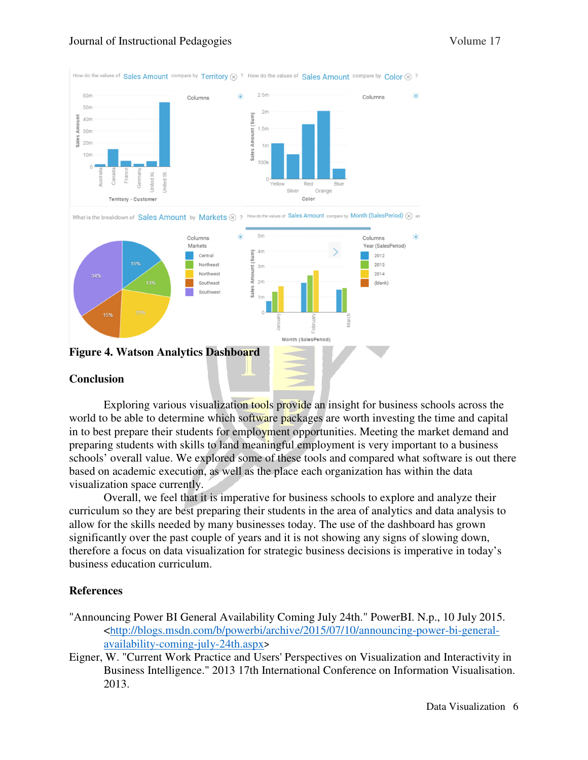

#### **Conclusion**

 Exploring various visualization tools provide an insight for business schools across the world to be able to determine which software packages are worth investing the time and capital in to best prepare their students for employment opportunities. Meeting the market demand and preparing students with skills to land meaningful employment is very important to a business schools' overall value. We explored some of these tools and compared what software is out there based on academic execution, as well as the place each organization has within the data visualization space currently.

 Overall, we feel that it is imperative for business schools to explore and analyze their curriculum so they are best preparing their students in the area of analytics and data analysis to allow for the skills needed by many businesses today. The use of the dashboard has grown significantly over the past couple of years and it is not showing any signs of slowing down, therefore a focus on data visualization for strategic business decisions is imperative in today's business education curriculum.

## **References**

- "Announcing Power BI General Availability Coming July 24th." PowerBI. N.p., 10 July 2015. <http://blogs.msdn.com/b/powerbi/archive/2015/07/10/announcing-power-bi-generalavailability-coming-july-24th.aspx>
- Eigner, W. "Current Work Practice and Users' Perspectives on Visualization and Interactivity in Business Intelligence." 2013 17th International Conference on Information Visualisation. 2013.